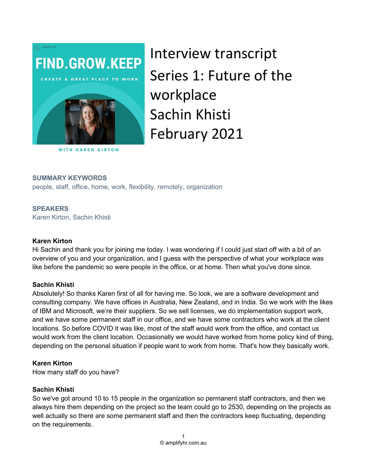

Interview transcript Series 1: Future of the workplace Sachin Khisti February 2021

#### **WITH KAREN KIRTON**

#### SUMMARY KEYWORDS

people, staff, office, home, work, flexibility, remotely, organization

#### **SPEAKERS**

Karen Kirton, Sachin Khisti

#### Karen Kirton

Hi Sachin and thank you for joining me today. I was wondering if I could just start off with a bit of an overview of you and your organization, and I guess with the perspective of what your workplace was like before the pandemic so were people in the office, or at home. Then what you've done since.

#### Sachin Khisti

Absolutely! So thanks Karen first of all for having me. So look, we are a software development and consulting company. We have offices in Australia, New Zealand, and in India. So we work with the likes of IBM and Microsoft, we're their suppliers. So we sell licenses, we do implementation support work, and we have some permanent staff in our office, and we have some contractors who work at the client locations. So before COVID it was like, most of the staff would work from the office, and contact us would work from the client location. Occasionally we would have worked from home policy kind of thing, depending on the personal situation if people want to work from home. That's how they basically work.

#### Karen Kirton

How many staff do you have?

#### Sachin Khisti

So we've got around 10 to 15 people in the organization so permanent staff contractors, and then we always hire them depending on the project so the team could go to 2530, depending on the projects as well actually so there are some permanent staff and then the contractors keep fluctuating, depending on the requirements.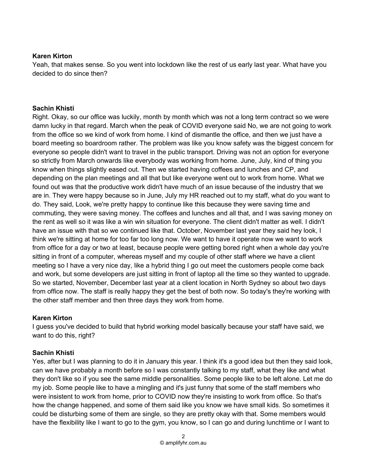### Karen Kirton

Yeah, that makes sense. So you went into lockdown like the rest of us early last year. What have you decided to do since then?

## Sachin Khisti

Right. Okay, so our office was luckily, month by month which was not a long term contract so we were damn lucky in that regard. March when the peak of COVID everyone said No, we are not going to work from the office so we kind of work from home. I kind of dismantle the office, and then we just have a board meeting so boardroom rather. The problem was like you know safety was the biggest concern for everyone so people didn't want to travel in the public transport. Driving was not an option for everyone so strictly from March onwards like everybody was working from home. June, July, kind of thing you know when things slightly eased out. Then we started having coffees and lunches and CP, and depending on the plan meetings and all that but like everyone went out to work from home. What we found out was that the productive work didn't have much of an issue because of the industry that we are in. They were happy because so in June, July my HR reached out to my staff, what do you want to do. They said, Look, we're pretty happy to continue like this because they were saving time and commuting, they were saving money. The coffees and lunches and all that, and I was saving money on the rent as well so it was like a win win situation for everyone. The client didn't matter as well. I didn't have an issue with that so we continued like that. October, November last year they said hey look, I think we're sitting at home for too far too long now. We want to have it operate now we want to work from office for a day or two at least, because people were getting bored right when a whole day you're sitting in front of a computer, whereas myself and my couple of other staff where we have a client meeting so I have a very nice day, like a hybrid thing I go out meet the customers people come back and work, but some developers are just sitting in front of laptop all the time so they wanted to upgrade. So we started, November, December last year at a client location in North Sydney so about two days from office now. The staff is really happy they get the best of both now. So today's they're working with the other staff member and then three days they work from home.

# Karen Kirton

I guess you've decided to build that hybrid working model basically because your staff have said, we want to do this, right?

# Sachin Khisti

Yes, after but I was planning to do it in January this year. I think it's a good idea but then they said look, can we have probably a month before so I was constantly talking to my staff, what they like and what they don't like so if you see the same middle personalities. Some people like to be left alone. Let me do my job. Some people like to have a mingling and it's just funny that some of the staff members who were insistent to work from home, prior to COVID now they're insisting to work from office. So that's how the change happened, and some of them said like you know we have small kids. So sometimes it could be disturbing some of them are single, so they are pretty okay with that. Some members would have the flexibility like I want to go to the gym, you know, so I can go and during lunchtime or I want to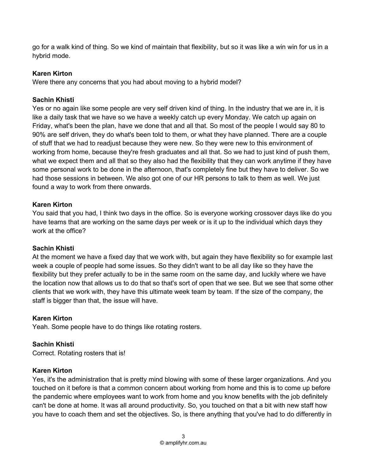go for a walk kind of thing. So we kind of maintain that flexibility, but so it was like a win win for us in a hybrid mode.

# Karen Kirton

Were there any concerns that you had about moving to a hybrid model?

# Sachin Khisti

Yes or no again like some people are very self driven kind of thing. In the industry that we are in, it is like a daily task that we have so we have a weekly catch up every Monday. We catch up again on Friday, what's been the plan, have we done that and all that. So most of the people I would say 80 to 90% are self driven, they do what's been told to them, or what they have planned. There are a couple of stuff that we had to readjust because they were new. So they were new to this environment of working from home, because they're fresh graduates and all that. So we had to just kind of push them, what we expect them and all that so they also had the flexibility that they can work anytime if they have some personal work to be done in the afternoon, that's completely fine but they have to deliver. So we had those sessions in between. We also got one of our HR persons to talk to them as well. We just found a way to work from there onwards.

# Karen Kirton

You said that you had, I think two days in the office. So is everyone working crossover days like do you have teams that are working on the same days per week or is it up to the individual which days they work at the office?

# Sachin Khisti

At the moment we have a fixed day that we work with, but again they have flexibility so for example last week a couple of people had some issues. So they didn't want to be all day like so they have the flexibility but they prefer actually to be in the same room on the same day, and luckily where we have the location now that allows us to do that so that's sort of open that we see. But we see that some other clients that we work with, they have this ultimate week team by team. If the size of the company, the staff is bigger than that, the issue will have.

# Karen Kirton

Yeah. Some people have to do things like rotating rosters.

# Sachin Khisti

Correct. Rotating rosters that is!

# Karen Kirton

Yes, it's the administration that is pretty mind blowing with some of these larger organizations. And you touched on it before is that a common concern about working from home and this is to come up before the pandemic where employees want to work from home and you know benefits with the job definitely can't be done at home. It was all around productivity. So, you touched on that a bit with new staff how you have to coach them and set the objectives. So, is there anything that you've had to do differently in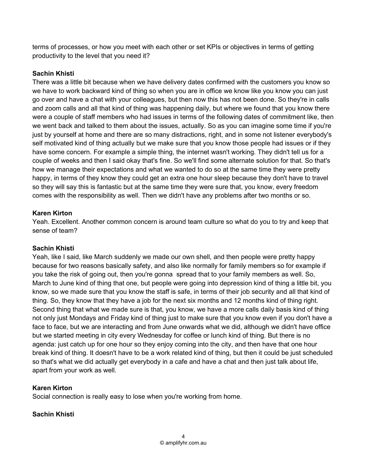terms of processes, or how you meet with each other or set KPIs or objectives in terms of getting productivity to the level that you need it?

# Sachin Khisti

There was a little bit because when we have delivery dates confirmed with the customers you know so we have to work backward kind of thing so when you are in office we know like you know you can just go over and have a chat with your colleagues, but then now this has not been done. So they're in calls and zoom calls and all that kind of thing was happening daily, but where we found that you know there were a couple of staff members who had issues in terms of the following dates of commitment like, then we went back and talked to them about the issues, actually. So as you can imagine some time if you're just by yourself at home and there are so many distractions, right, and in some not listener everybody's self motivated kind of thing actually but we make sure that you know those people had issues or if they have some concern. For example a simple thing, the internet wasn't working. They didn't tell us for a couple of weeks and then I said okay that's fine. So we'll find some alternate solution for that. So that's how we manage their expectations and what we wanted to do so at the same time they were pretty happy, in terms of they know they could get an extra one hour sleep because they don't have to travel so they will say this is fantastic but at the same time they were sure that, you know, every freedom comes with the responsibility as well. Then we didn't have any problems after two months or so.

# Karen Kirton

Yeah. Excellent. Another common concern is around team culture so what do you to try and keep that sense of team?

# Sachin Khisti

Yeah, like I said, like March suddenly we made our own shell, and then people were pretty happy because for two reasons basically safety, and also like normally for family members so for example if you take the risk of going out, then you're gonna spread that to your family members as well. So, March to June kind of thing that one, but people were going into depression kind of thing a little bit, you know, so we made sure that you know the staff is safe, in terms of their job security and all that kind of thing. So, they know that they have a job for the next six months and 12 months kind of thing right. Second thing that what we made sure is that, you know, we have a more calls daily basis kind of thing not only just Mondays and Friday kind of thing just to make sure that you know even if you don't have a face to face, but we are interacting and from June onwards what we did, although we didn't have office but we started meeting in city every Wednesday for coffee or lunch kind of thing. But there is no agenda: just catch up for one hour so they enjoy coming into the city, and then have that one hour break kind of thing. It doesn't have to be a work related kind of thing, but then it could be just scheduled so that's what we did actually get everybody in a cafe and have a chat and then just talk about life, apart from your work as well.

# Karen Kirton

Social connection is really easy to lose when you're working from home.

# Sachin Khisti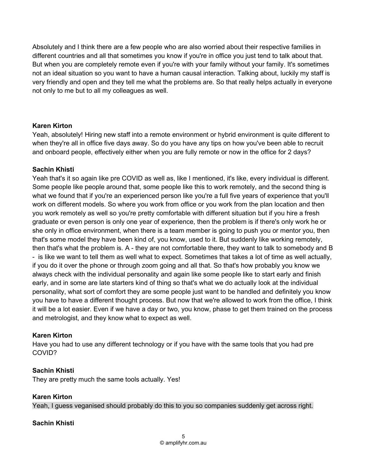Absolutely and I think there are a few people who are also worried about their respective families in different countries and all that sometimes you know if you're in office you just tend to talk about that. But when you are completely remote even if you're with your family without your family. It's sometimes not an ideal situation so you want to have a human causal interaction. Talking about, luckily my staff is very friendly and open and they tell me what the problems are. So that really helps actually in everyone not only to me but to all my colleagues as well.

### Karen Kirton

Yeah, absolutely! Hiring new staff into a remote environment or hybrid environment is quite different to when they're all in office five days away. So do you have any tips on how you've been able to recruit and onboard people, effectively either when you are fully remote or now in the office for 2 days?

# Sachin Khisti

Yeah that's it so again like pre COVID as well as, like I mentioned, it's like, every individual is different. Some people like people around that, some people like this to work remotely, and the second thing is what we found that if you're an experienced person like you're a full five years of experience that you'll work on different models. So where you work from office or you work from the plan location and then you work remotely as well so you're pretty comfortable with different situation but if you hire a fresh graduate or even person is only one year of experience, then the problem is if there's only work he or she only in office environment, when there is a team member is going to push you or mentor you, then that's some model they have been kind of, you know, used to it. But suddenly like working remotely, then that's what the problem is. A - they are not comfortable there, they want to talk to somebody and B - is like we want to tell them as well what to expect. Sometimes that takes a lot of time as well actually, if you do it over the phone or through zoom going and all that. So that's how probably you know we always check with the individual personality and again like some people like to start early and finish early, and in some are late starters kind of thing so that's what we do actually look at the individual personality, what sort of comfort they are some people just want to be handled and definitely you know you have to have a different thought process. But now that we're allowed to work from the office, I think it will be a lot easier. Even if we have a day or two, you know, phase to get them trained on the process and metrologist, and they know what to expect as well.

# Karen Kirton

Have you had to use any different technology or if you have with the same tools that you had pre COVID?

# Sachin Khisti

They are pretty much the same tools actually. Yes!

# Karen Kirton

Yeah, I guess veganised should probably do this to you so companies suddenly get across right.

# Sachin Khisti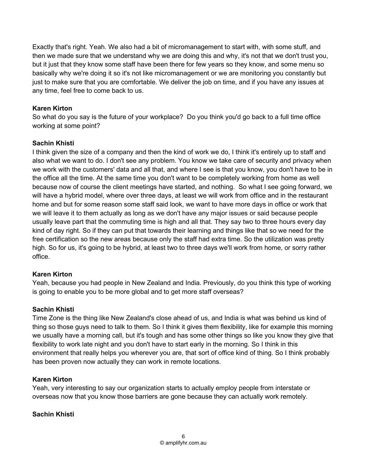Exactly that's right. Yeah. We also had a bit of micromanagement to start with, with some stuff, and then we made sure that we understand why we are doing this and why, it's not that we don't trust you, but it just that they know some staff have been there for few years so they know, and some menu so basically why we're doing it so it's not like micromanagement or we are monitoring you constantly but just to make sure that you are comfortable. We deliver the job on time, and if you have any issues at any time, feel free to come back to us.

# Karen Kirton

So what do you say is the future of your workplace? Do you think you'd go back to a full time office working at some point?

# Sachin Khisti

I think given the size of a company and then the kind of work we do, I think it's entirely up to staff and also what we want to do. I don't see any problem. You know we take care of security and privacy when we work with the customers' data and all that, and where I see is that you know, you don't have to be in the office all the time. At the same time you don't want to be completely working from home as well because now of course the client meetings have started, and nothing. So what I see going forward, we will have a hybrid model, where over three days, at least we will work from office and in the restaurant home and but for some reason some staff said look, we want to have more days in office or work that we will leave it to them actually as long as we don't have any major issues or said because people usually leave part that the commuting time is high and all that. They say two to three hours every day kind of day right. So if they can put that towards their learning and things like that so we need for the free certification so the new areas because only the staff had extra time. So the utilization was pretty high. So for us, it's going to be hybrid, at least two to three days we'll work from home, or sorry rather office.

# Karen Kirton

Yeah, because you had people in New Zealand and India. Previously, do you think this type of working is going to enable you to be more global and to get more staff overseas?

# Sachin Khisti

Time Zone is the thing like New Zealand's close ahead of us, and India is what was behind us kind of thing so those guys need to talk to them. So I think it gives them flexibility, like for example this morning we usually have a morning call, but it's tough and has some other things so like you know they give that flexibility to work late night and you don't have to start early in the morning. So I think in this environment that really helps you wherever you are, that sort of office kind of thing. So I think probably has been proven now actually they can work in remote locations.

# Karen Kirton

Yeah, very interesting to say our organization starts to actually employ people from interstate or overseas now that you know those barriers are gone because they can actually work remotely.

# Sachin Khisti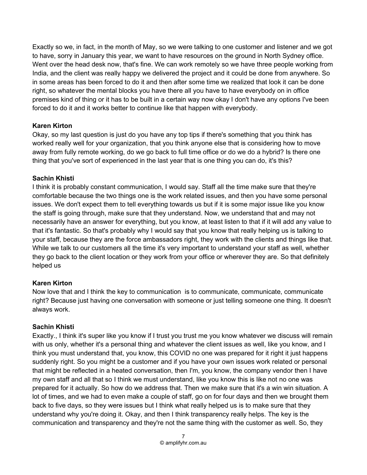Exactly so we, in fact, in the month of May, so we were talking to one customer and listener and we got to have, sorry in January this year, we want to have resources on the ground in North Sydney office. Went over the head desk now, that's fine. We can work remotely so we have three people working from India, and the client was really happy we delivered the project and it could be done from anywhere. So in some areas has been forced to do it and then after some time we realized that look it can be done right, so whatever the mental blocks you have there all you have to have everybody on in office premises kind of thing or it has to be built in a certain way now okay I don't have any options I've been forced to do it and it works better to continue like that happen with everybody.

# Karen Kirton

Okay, so my last question is just do you have any top tips if there's something that you think has worked really well for your organization, that you think anyone else that is considering how to move away from fully remote working, do we go back to full time office or do we do a hybrid? Is there one thing that you've sort of experienced in the last year that is one thing you can do, it's this?

# Sachin Khisti

I think it is probably constant communication, I would say. Staff all the time make sure that they're comfortable because the two things one is the work related issues, and then you have some personal issues. We don't expect them to tell everything towards us but if it is some major issue like you know the staff is going through, make sure that they understand. Now, we understand that and may not necessarily have an answer for everything, but you know, at least listen to that if it will add any value to that it's fantastic. So that's probably why I would say that you know that really helping us is talking to your staff, because they are the force ambassadors right, they work with the clients and things like that. While we talk to our customers all the time it's very important to understand your staff as well, whether they go back to the client location or they work from your office or wherever they are. So that definitely helped us

# Karen Kirton

Now love that and I think the key to communication is to communicate, communicate, communicate right? Because just having one conversation with someone or just telling someone one thing. It doesn't always work.

# Sachin Khisti

Exactly., I think it's super like you know if I trust you trust me you know whatever we discuss will remain with us only, whether it's a personal thing and whatever the client issues as well, like you know, and I think you must understand that, you know, this COVID no one was prepared for it right it just happens suddenly right. So you might be a customer and if you have your own issues work related or personal that might be reflected in a heated conversation, then I'm, you know, the company vendor then I have my own staff and all that so I think we must understand, like you know this is like not no one was prepared for it actually. So how do we address that. Then we make sure that it's a win win situation. A lot of times, and we had to even make a couple of staff, go on for four days and then we brought them back to five days, so they were issues but I think what really helped us is to make sure that they understand why you're doing it. Okay, and then I think transparency really helps. The key is the communication and transparency and they're not the same thing with the customer as well. So, they